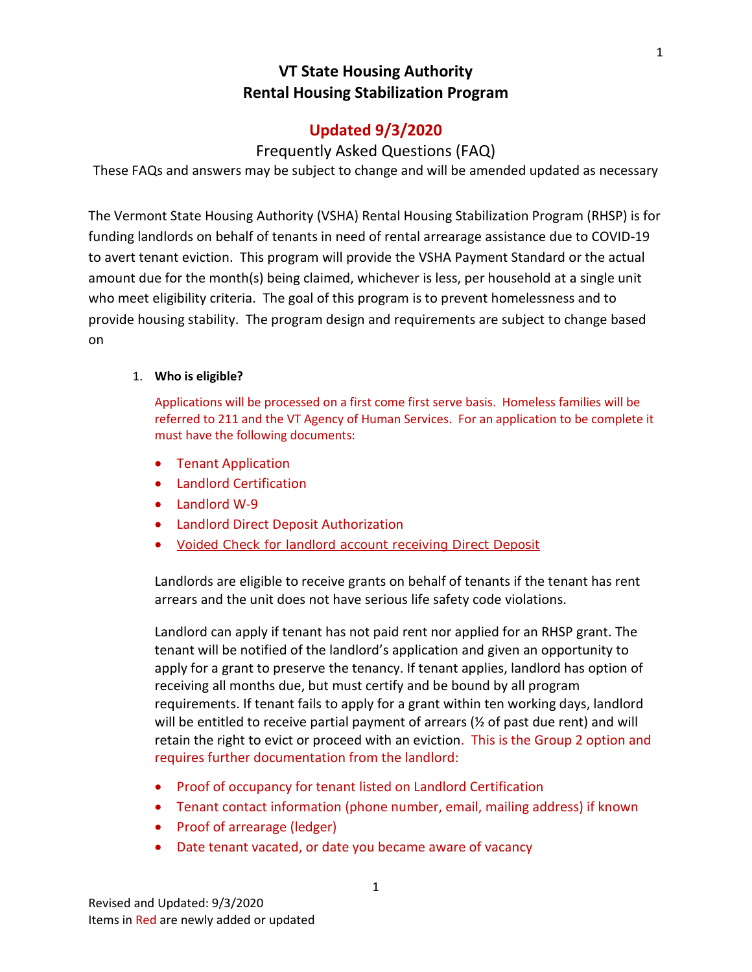# **Updated 9/3/2020**

## Frequently Asked Questions (FAQ)

These FAQs and answers may be subject to change and will be amended updated as necessary

The Vermont State Housing Authority (VSHA) Rental Housing Stabilization Program (RHSP) is for funding landlords on behalf of tenants in need of rental arrearage assistance due to COVID-19 to avert tenant eviction. This program will provide the VSHA Payment Standard or the actual amount due for the month(s) being claimed, whichever is less, per household at a single unit who meet eligibility criteria. The goal of this program is to prevent homelessness and to provide housing stability. The program design and requirements are subject to change based on

## 1. **Who is eligible?**

Applications will be processed on a first come first serve basis. Homeless families will be referred to 211 and the VT Agency of Human Services. For an application to be complete it must have the following documents:

- Tenant Application
- Landlord Certification
- Landlord W-9
- Landlord Direct Deposit Authorization
- Voided Check for landlord account receiving Direct Deposit

Landlords are eligible to receive grants on behalf of tenants if the tenant has rent arrears and the unit does not have serious life safety code violations.

Landlord can apply if tenant has not paid rent nor applied for an RHSP grant. The tenant will be notified of the landlord's application and given an opportunity to apply for a grant to preserve the tenancy. If tenant applies, landlord has option of receiving all months due, but must certify and be bound by all program requirements. If tenant fails to apply for a grant within ten working days, landlord will be entitled to receive partial payment of arrears ( $\frac{1}{2}$  of past due rent) and will retain the right to evict or proceed with an eviction. This is the Group 2 option and requires further documentation from the landlord:

- Proof of occupancy for tenant listed on Landlord Certification
- Tenant contact information (phone number, email, mailing address) if known
- Proof of arrearage (ledger)
- Date tenant vacated, or date you became aware of vacancy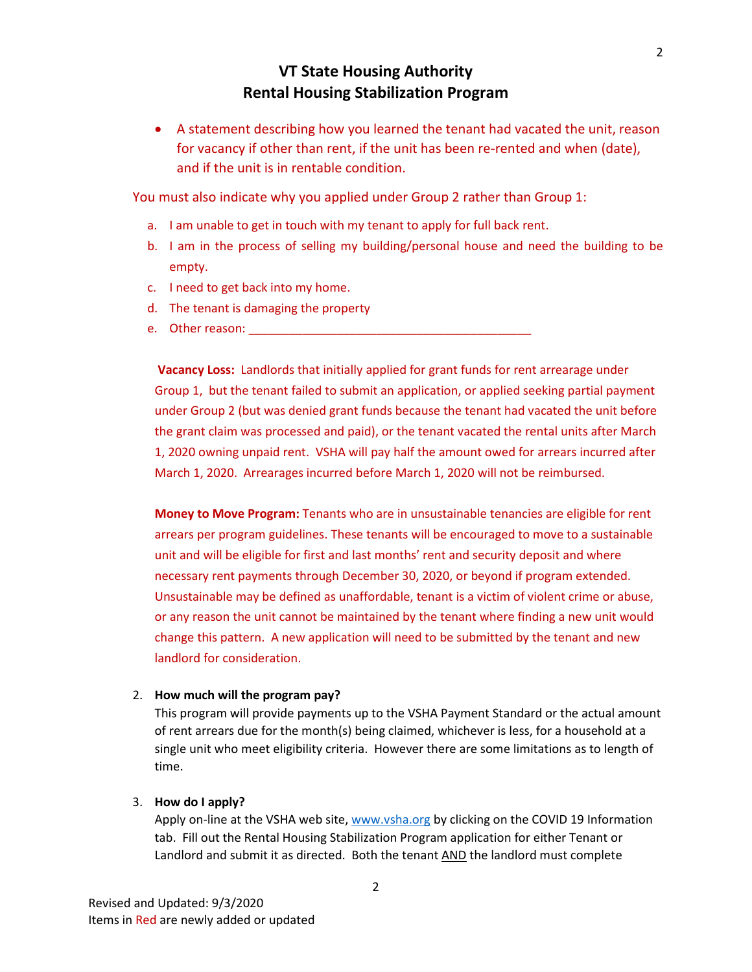• A statement describing how you learned the tenant had vacated the unit, reason for vacancy if other than rent, if the unit has been re-rented and when (date), and if the unit is in rentable condition.

You must also indicate why you applied under Group 2 rather than Group 1:

- a. I am unable to get in touch with my tenant to apply for full back rent.
- b. I am in the process of selling my building/personal house and need the building to be empty.
- c. I need to get back into my home.
- d. The tenant is damaging the property
- e. Other reason:

**Vacancy Loss:** Landlords that initially applied for grant funds for rent arrearage under Group 1, but the tenant failed to submit an application, or applied seeking partial payment under Group 2 (but was denied grant funds because the tenant had vacated the unit before the grant claim was processed and paid), or the tenant vacated the rental units after March 1, 2020 owning unpaid rent. VSHA will pay half the amount owed for arrears incurred after March 1, 2020. Arrearages incurred before March 1, 2020 will not be reimbursed.

**Money to Move Program:** Tenants who are in unsustainable tenancies are eligible for rent arrears per program guidelines. These tenants will be encouraged to move to a sustainable unit and will be eligible for first and last months' rent and security deposit and where necessary rent payments through December 30, 2020, or beyond if program extended. Unsustainable may be defined as unaffordable, tenant is a victim of violent crime or abuse, or any reason the unit cannot be maintained by the tenant where finding a new unit would change this pattern. A new application will need to be submitted by the tenant and new landlord for consideration.

#### 2. **How much will the program pay?**

This program will provide payments up to the VSHA Payment Standard or the actual amount of rent arrears due for the month(s) being claimed, whichever is less, for a household at a single unit who meet eligibility criteria. However there are some limitations as to length of time.

### 3. **How do I apply?**

Apply on-line at the VSHA web site, [www.vsha.org](http://www.vsha.org/) by clicking on the COVID 19 Information tab. Fill out the Rental Housing Stabilization Program application for either Tenant or Landlord and submit it as directed. Both the tenant AND the landlord must complete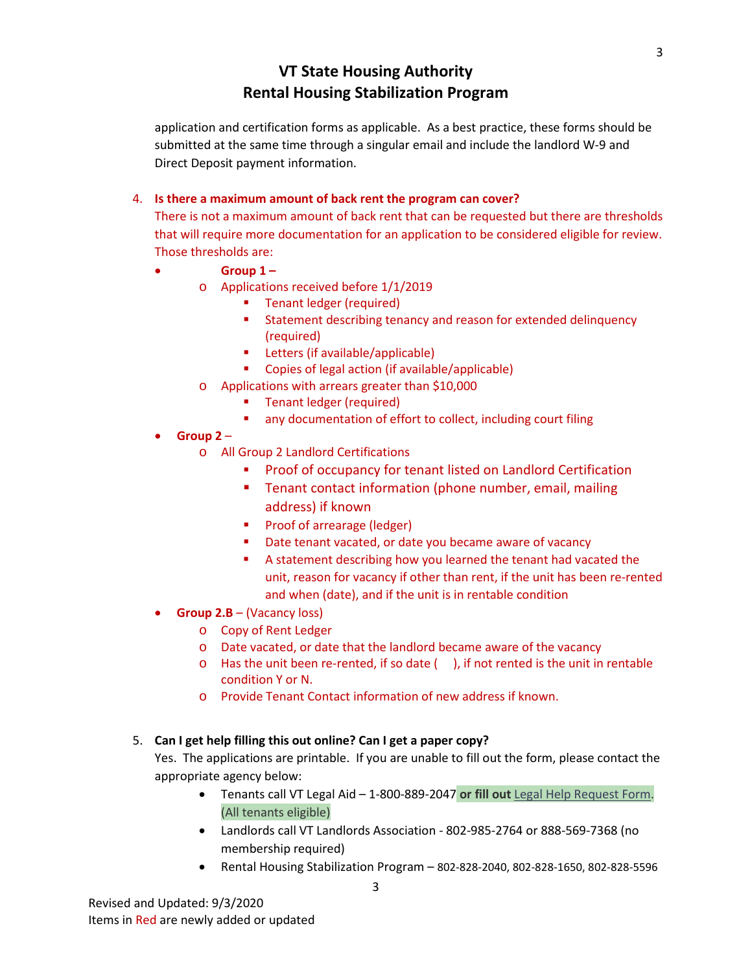application and certification forms as applicable. As a best practice, these forms should be submitted at the same time through a singular email and include the landlord W-9 and Direct Deposit payment information.

## 4. **Is there a maximum amount of back rent the program can cover?**

There is not a maximum amount of back rent that can be requested but there are thresholds that will require more documentation for an application to be considered eligible for review. Those thresholds are:

- **Group 1 –**
	- o Applications received before 1/1/2019
		- Tenant ledger (required)
		- **Statement describing tenancy and reason for extended delinquency** (required)
		- **Letters (if available/applicable)**
		- **Copies of legal action (if available/applicable)**
	- o Applications with arrears greater than \$10,000
		- **Tenant ledger (required)**
		- **a** any documentation of effort to collect, including court filing
- **Group 2**
	- o All Group 2 Landlord Certifications
		- Proof of occupancy for tenant listed on Landlord Certification
		- **Tenant contact information (phone number, email, mailing)** address) if known
		- **Proof of arrearage (ledger)**
		- Date tenant vacated, or date you became aware of vacancy
		- A statement describing how you learned the tenant had vacated the unit, reason for vacancy if other than rent, if the unit has been re-rented and when (date), and if the unit is in rentable condition
- **Group 2.B**  (Vacancy loss)
	- o Copy of Rent Ledger
	- o Date vacated, or date that the landlord became aware of the vacancy
	- $\circ$  Has the unit been re-rented, if so date (), if not rented is the unit in rentable condition Y or N.
	- o Provide Tenant Contact information of new address if known.

## 5. **Can I get help filling this out online? Can I get a paper copy?**

Yes. The applications are printable. If you are unable to fill out the form, please contact the appropriate agency below:

- Tenants call VT Legal Aid 1-800-889-2047 **or fill out** [Legal Help Request Form.](https://vtlawhelp.org/vlh-intake) (All tenants eligible)
- Landlords call VT Landlords Association 802-985-2764 or 888-569-7368 (no membership required)
- Rental Housing Stabilization Program 802-828-2040, 802-828-1650, 802-828-5596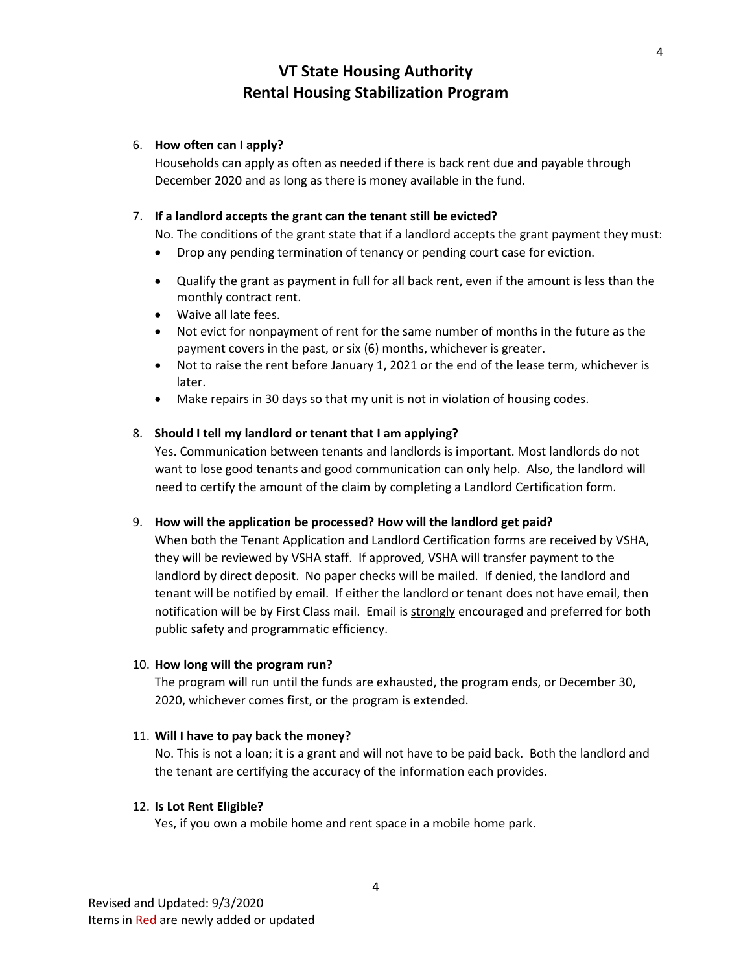## 6. **How often can I apply?**

Households can apply as often as needed if there is back rent due and payable through December 2020 and as long as there is money available in the fund.

## 7. **If a landlord accepts the grant can the tenant still be evicted?**

No. The conditions of the grant state that if a landlord accepts the grant payment they must:

- Drop any pending termination of tenancy or pending court case for eviction.
- Qualify the grant as payment in full for all back rent, even if the amount is less than the monthly contract rent.
- Waive all late fees.
- Not evict for nonpayment of rent for the same number of months in the future as the payment covers in the past, or six (6) months, whichever is greater.
- Not to raise the rent before January 1, 2021 or the end of the lease term, whichever is later.
- Make repairs in 30 days so that my unit is not in violation of housing codes.

## 8. **Should I tell my landlord or tenant that I am applying?**

Yes. Communication between tenants and landlords is important. Most landlords do not want to lose good tenants and good communication can only help. Also, the landlord will need to certify the amount of the claim by completing a Landlord Certification form.

## 9. **How will the application be processed? How will the landlord get paid?**

When both the Tenant Application and Landlord Certification forms are received by VSHA, they will be reviewed by VSHA staff. If approved, VSHA will transfer payment to the landlord by direct deposit. No paper checks will be mailed. If denied, the landlord and tenant will be notified by email. If either the landlord or tenant does not have email, then notification will be by First Class mail. Email is strongly encouraged and preferred for both public safety and programmatic efficiency.

## 10. **How long will the program run?**

The program will run until the funds are exhausted, the program ends, or December 30, 2020, whichever comes first, or the program is extended.

## 11. **Will I have to pay back the money?**

No. This is not a loan; it is a grant and will not have to be paid back. Both the landlord and the tenant are certifying the accuracy of the information each provides.

## 12. **Is Lot Rent Eligible?**

Yes, if you own a mobile home and rent space in a mobile home park.

4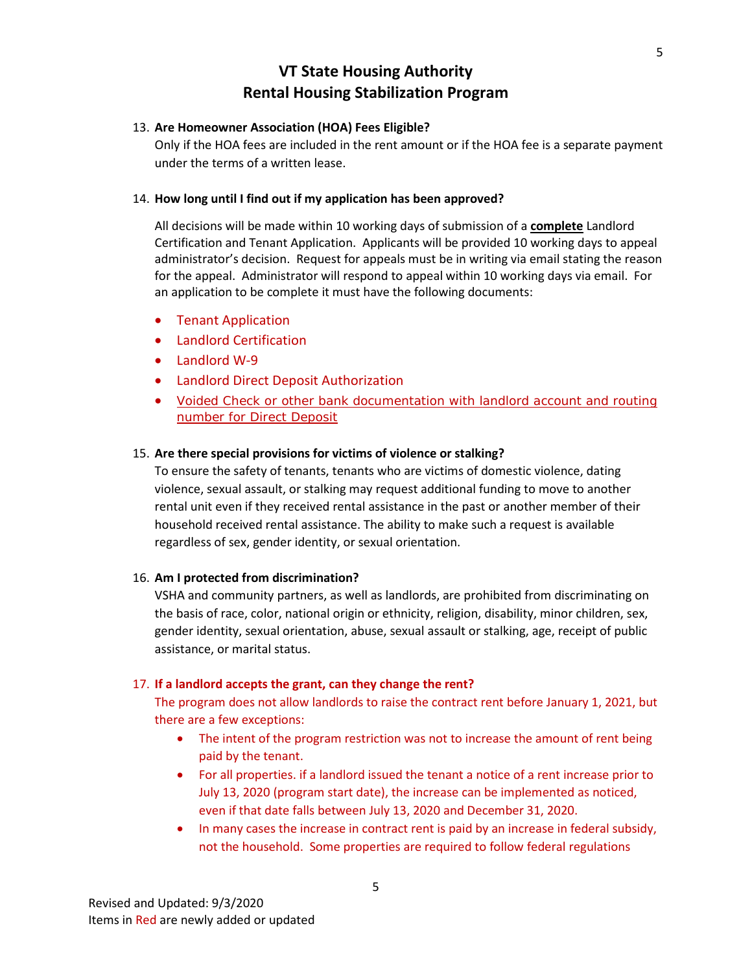### 13. **Are Homeowner Association (HOA) Fees Eligible?**

Only if the HOA fees are included in the rent amount or if the HOA fee is a separate payment under the terms of a written lease.

## 14. **How long until I find out if my application has been approved?**

All decisions will be made within 10 working days of submission of a **complete** Landlord Certification and Tenant Application. Applicants will be provided 10 working days to appeal administrator's decision. Request for appeals must be in writing via email stating the reason for the appeal. Administrator will respond to appeal within 10 working days via email. For an application to be complete it must have the following documents:

- Tenant Application
- Landlord Certification
- Landlord W-9
- Landlord Direct Deposit Authorization
- Voided Check or other bank documentation with landlord account and routing number for Direct Deposit

#### 15. **Are there special provisions for victims of violence or stalking?**

To ensure the safety of tenants, tenants who are victims of domestic violence, dating violence, sexual assault, or stalking may request additional funding to move to another rental unit even if they received rental assistance in the past or another member of their household received rental assistance. The ability to make such a request is available regardless of sex, gender identity, or sexual orientation.

## 16. **Am I protected from discrimination?**

VSHA and community partners, as well as landlords, are prohibited from discriminating on the basis of race, color, national origin or ethnicity, religion, disability, minor children, sex, gender identity, sexual orientation, abuse, sexual assault or stalking, age, receipt of public assistance, or marital status.

#### 17. **If a landlord accepts the grant, can they change the rent?**

The program does not allow landlords to raise the contract rent before January 1, 2021, but there are a few exceptions:

- The intent of the program restriction was not to increase the amount of rent being paid by the tenant.
- For all properties. if a landlord issued the tenant a notice of a rent increase prior to July 13, 2020 (program start date), the increase can be implemented as noticed, even if that date falls between July 13, 2020 and December 31, 2020.
- In many cases the increase in contract rent is paid by an increase in federal subsidy, not the household. Some properties are required to follow federal regulations

5